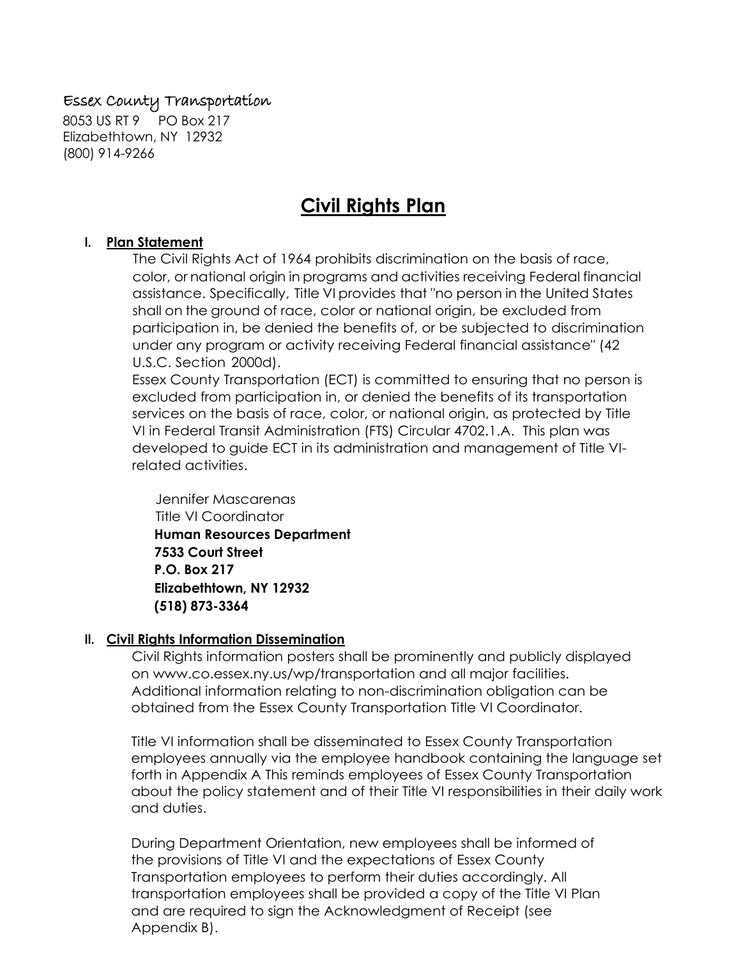## Essex County Transportation

8053 US RT 9 PO Box 217 Elizabethtown, NY 12932 (800) 914-9266

# **Civil Rights Plan**

#### **I. Plan Statement**

The Civil Rights Act of 1964 prohibits discrimination on the basis of race, color, or national origin in programs and activities receiving Federal financial assistance. Specifically, Title VI provides that "no person in the United States shall on the ground of race, color or national origin, be excluded from participation in, be denied the benefits of, or be subjected to discrimination under any program or activity receiving Federal financial assistance" (42 U.S.C. Section 2000d).

Essex County Transportation (ECT) is committed to ensuring that no person is excluded from participation in, or denied the benefits of its transportation services on the basis of race, color, or national origin, as protected by Title VI in Federal Transit Administration (FTS) Circular 4702.1.A. This plan was developed to guide ECT in its administration and management of Title VIrelated activities.

 Jennifer Mascarenas Title VI Coordinator **Human Resources Department 7533 Court Street P.O. Box 217 Elizabethtown, NY 12932 (518) 873-3364**

#### **II. Civil Rights Information Dissemination**

Civil Rights information posters shall be prominently and publicly displayed on www.co.essex.ny.us/wp/transportation and all major facilities. Additional information relating to non-discrimination obligation can be obtained from the Essex County Transportation Title VI Coordinator.

Title VI information shall be disseminated to Essex County Transportation employees annually via the employee handbook containing the language set forth in Appendix A This reminds employees of Essex County Transportation about the policy statement and of their Title VI responsibilities in their daily work and duties.

During Department Orientation, new employees shall be informed of the provisions of Title VI and the expectations of Essex County Transportation employees to perform their duties accordingly. All transportation employees shall be provided a copy of the Title VI Plan and are required to sign the Acknowledgment of Receipt (see Appendix B).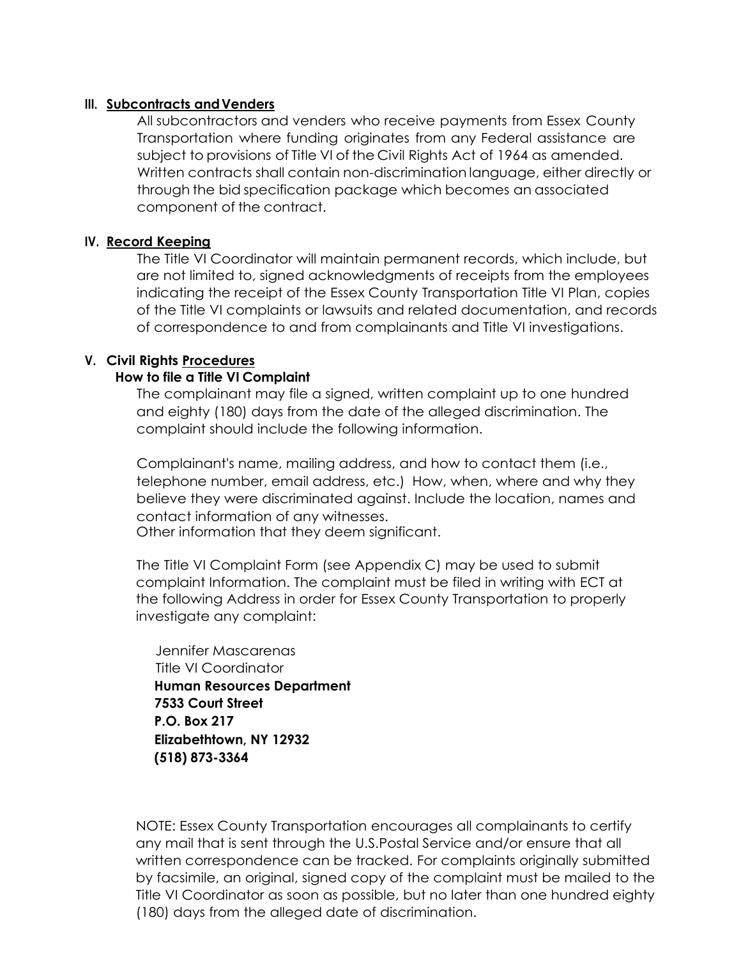#### **III.** Subcontracts and Venders

All subcontractors and venders who receive payments from Essex County Transportation where funding originates from any Federal assistance are subject to provisions of Title VI of the Civil Rights Act of 1964 as amended. Written contracts shall contain non-discrimination language, either directly or through the bid specification package which becomes an associated component of the contract.

#### **IV. Record Keeping**

The Title VI Coordinator will maintain permanent records, which include, but are not limited to, signed acknowledgments of receipts from the employees indicating the receipt of the Essex County Transportation Title VI Plan, copies of the Title VI complaints or lawsuits and related documentation, and records of correspondence to and from complainants and Title VI investigations.

#### **V. Civil Rights Procedures**

#### **How to file a Title VI Complaint**

The complainant may file a signed, written complaint up to one hundred and eighty (180) days from the date of the alleged discrimination. The complaint should include the following information.

Complainant's name, mailing address, and how to contact them (i.e., telephone number, email address, etc.) How, when, where and why they believe they were discriminated against. Include the location, names and contact information of any witnesses.

Other information that they deem significant.

The Title VI Complaint Form (see Appendix C) may be used to submit complaint Information. The complaint must be filed in writing with ECT at the following Address in order for Essex County Transportation to properly investigate any complaint:

 Jennifer Mascarenas Title VI Coordinator **Human Resources Department 7533 Court Street P.O. Box 217 Elizabethtown, NY 12932 (518) 873-3364**

NOTE: Essex County Transportation encourages all complainants to certify any mail that is sent through the U.S.Postal Service and/or ensure that all written correspondence can be tracked. For complaints originally submitted by facsimile, an original, signed copy of the complaint must be mailed to the Title VI Coordinator as soon as possible, but no later than one hundred eighty (180) days from the alleged date of discrimination.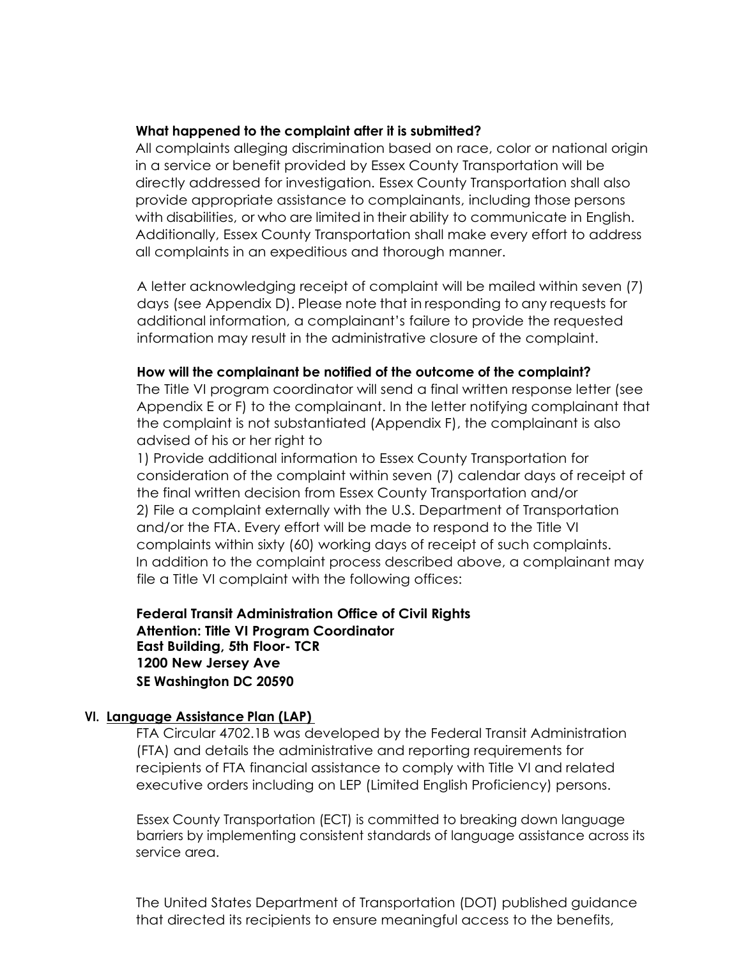#### **What happened to the complaint after it is submitted?**

All complaints alleging discrimination based on race, color or national origin in a service or benefit provided by Essex County Transportation will be directly addressed for investigation. Essex County Transportation shall also provide appropriate assistance to complainants, including those persons with disabilities, or who are limited in their ability to communicate in English. Additionally, Essex County Transportation shall make every effort to address all complaints in an expeditious and thorough manner.

A letter acknowledging receipt of complaint will be mailed within seven (7) days (see Appendix D). Please note that in responding to any requests for additional information, a complainant's failure to provide the requested information may result in the administrative closure of the complaint.

#### **How will the complainant be notified of the outcome of the complaint?**

The Title VI program coordinator will send a final written response letter (see Appendix E or F) to the complainant. In the letter notifying complainant that the complaint is not substantiated (Appendix F), the complainant is also advised of his or her right to

1) Provide additional information to Essex County Transportation for consideration of the complaint within seven (7) calendar days of receipt of the final written decision from Essex County Transportation and/or 2) File a complaint externally with the U.S. Department of Transportation and/or the FTA. Every effort will be made to respond to the Title VI complaints within sixty (60) working days of receipt of such complaints. In addition to the complaint process described above, a complainant may file a Title VI complaint with the following offices:

**Federal Transit Administration Office of Civil Rights Attention: Title VI Program Coordinator East Building, 5th Floor- TCR 1200 New Jersey Ave SE Washington DC 20590**

#### **VI. Language Assistance Plan (LAP)**

FTA Circular 4702.1B was developed by the Federal Transit Administration (FTA) and details the administrative and reporting requirements for recipients of FTA financial assistance to comply with Title VI and related executive orders including on LEP (Limited English Proficiency) persons.

 Essex County Transportation (ECT) is committed to breaking down language barriers by implementing consistent standards of language assistance across its service area.

The United States Department of Transportation (DOT) published guidance that directed its recipients to ensure meaningful access to the benefits,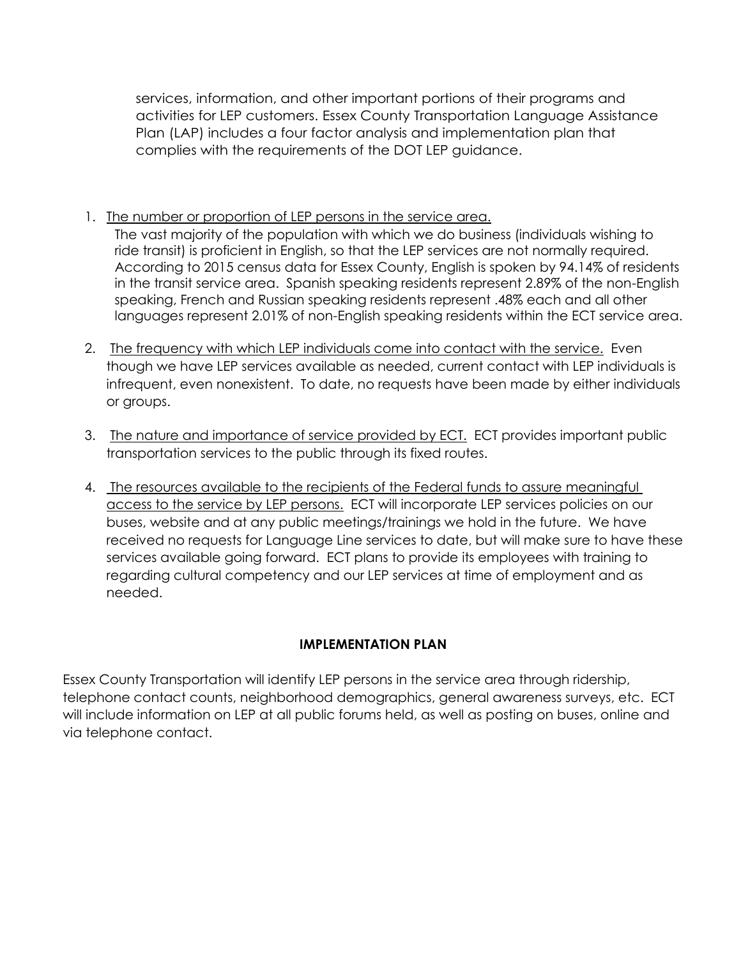services, information, and other important portions of their programs and activities for LEP customers. Essex County Transportation Language Assistance Plan (LAP) includes a four factor analysis and implementation plan that complies with the requirements of the DOT LEP guidance.

- 1. The number or proportion of LEP persons in the service area. The vast majority of the population with which we do business (individuals wishing to ride transit) is proficient in English, so that the LEP services are not normally required. According to 2015 census data for Essex County, English is spoken by 94.14% of residents in the transit service area. Spanish speaking residents represent 2.89% of the non-English speaking, French and Russian speaking residents represent .48% each and all other languages represent 2.01% of non-English speaking residents within the ECT service area.
- 2. The frequency with which LEP individuals come into contact with the service. Even though we have LEP services available as needed, current contact with LEP individuals is infrequent, even nonexistent. To date, no requests have been made by either individuals or groups.
- 3. The nature and importance of service provided by ECT. ECT provides important public transportation services to the public through its fixed routes.
- 4. The resources available to the recipients of the Federal funds to assure meaningful access to the service by LEP persons. ECT will incorporate LEP services policies on our buses, website and at any public meetings/trainings we hold in the future. We have received no requests for Language Line services to date, but will make sure to have these services available going forward. ECT plans to provide its employees with training to regarding cultural competency and our LEP services at time of employment and as needed.

## **IMPLEMENTATION PLAN**

Essex County Transportation will identify LEP persons in the service area through ridership, telephone contact counts, neighborhood demographics, general awareness surveys, etc. ECT will include information on LEP at all public forums held, as well as posting on buses, online and via telephone contact.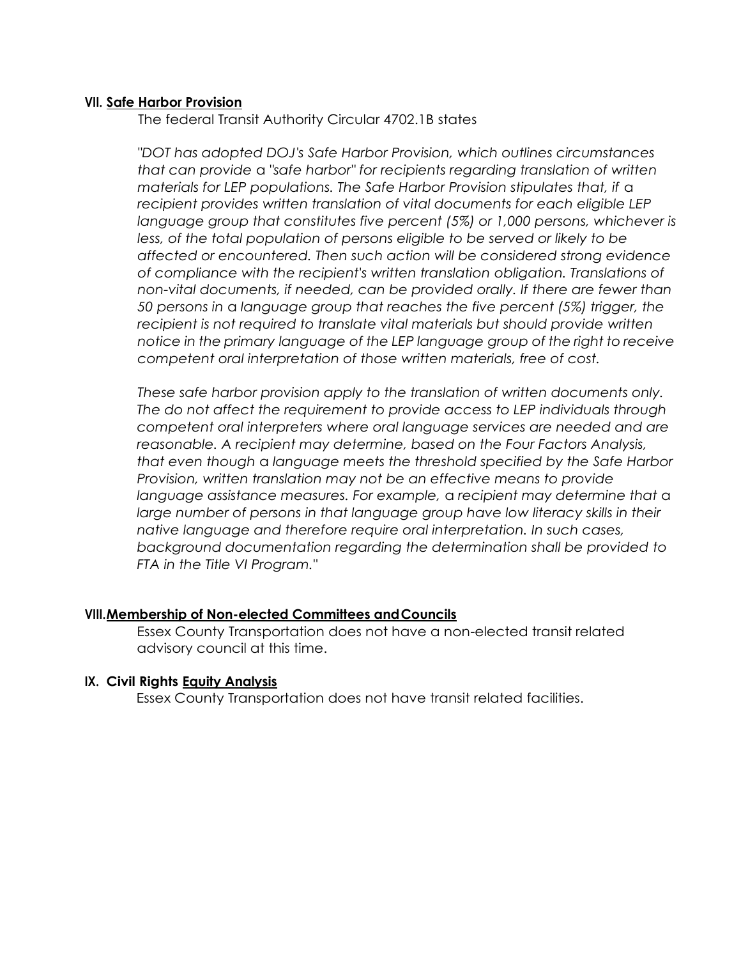#### **VII. Safe Harbor Provision**

The federal Transit Authority Circular 4702.1B states

*"DOT has adopted DOJ's Safe Harbor Provision, which outlines circumstances that can provide* a *"safe harbor" for recipients regarding translation of written materials for LEP populations. The Safe Harbor Provision stipulates that, if a recipient provides written translation of vital documents for each eligible LEP language group that constitutes five percent (5%) or 1,000 persons, whichever is less, of the total population of persons eligible to be served or likely to be affected or encountered. Then such action will be considered strong evidence of compliance with the recipient's written translation obligation. Translations of non-vital documents, if needed, can be provided orally. If there are fewer than 50 persons in* a *language group that reaches the five percent (5%) trigger, the recipient is not required to translate vital materials but should provide written notice in the primary language of the LEP language group of the right to receive competent oral interpretation of those written materials, free of cost.*

*These safe harbor provision apply to the translation of written documents only. The do not affect the requirement to provide access to LEP individuals through competent oral interpreters where oral language services are needed and are reasonable. A recipient may determine, based on the Four Factors Analysis, that even though* a *language meets the threshold specified by the Safe Harbor Provision, written translation may not be an effective means to provide language assistance measures. For example,* a *recipient may determine that* a large number of persons in that language group have low literacy skills in their *native language and therefore require oral interpretation. In such cases, background documentation regarding the determination shall be provided to FTA in the Title VI Program."*

#### **VIII.Membership of Non-elected Committees andCouncils**

Essex County Transportation does not have a non-elected transit related advisory council at this time.

#### **IX. Civil Rights Equity Analysis**

Essex County Transportation does not have transit related facilities.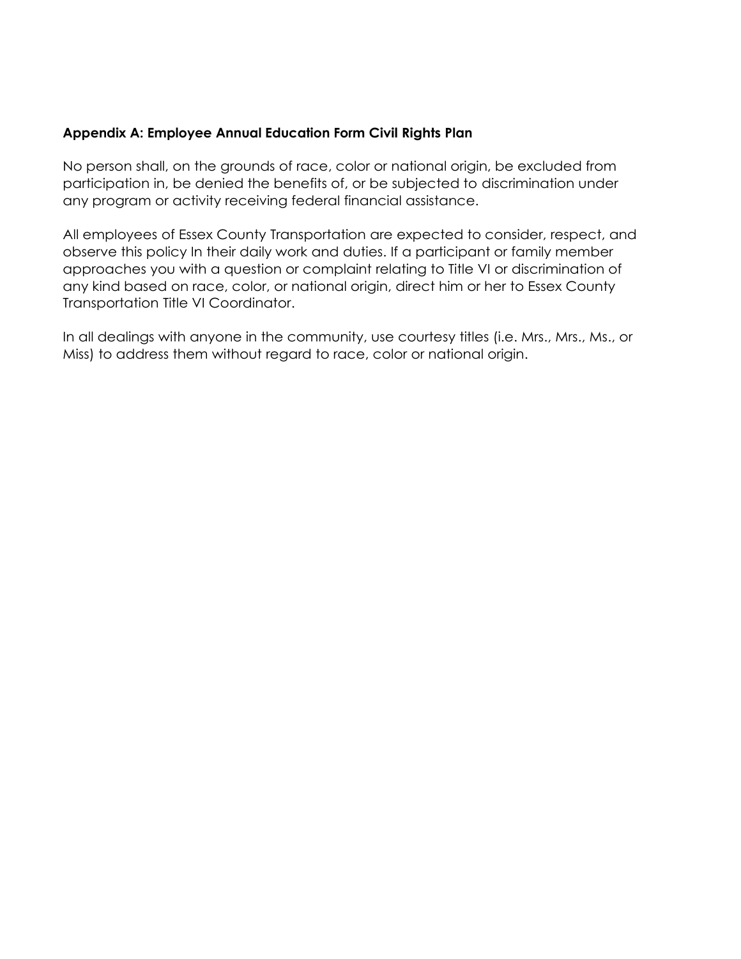#### **Appendix A: Employee Annual Education Form Civil Rights Plan**

No person shall, on the grounds of race, color or national origin, be excluded from participation in, be denied the benefits of, or be subjected to discrimination under any program or activity receiving federal financial assistance.

All employees of Essex County Transportation are expected to consider, respect, and observe this policy In their daily work and duties. If a participant or family member approaches you with a question or complaint relating to Title VI or discrimination of any kind based on race, color, or national origin, direct him or her to Essex County Transportation Title VI Coordinator.

In all dealings with anyone in the community, use courtesy titles (i.e. Mrs., Mrs., Ms., or Miss) to address them without regard to race, color or national origin.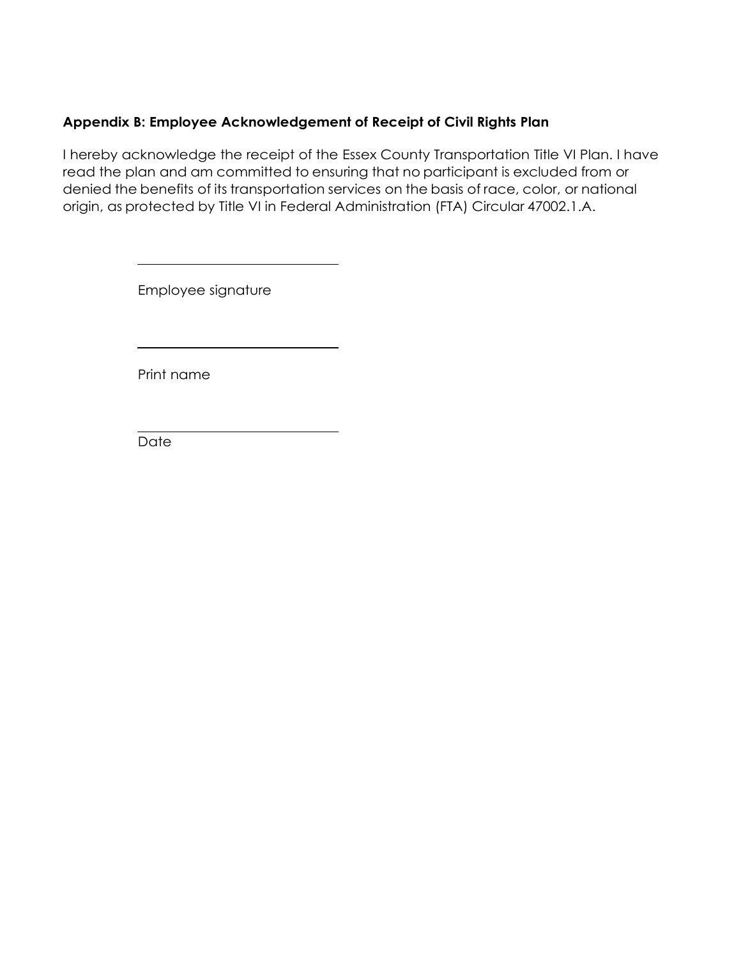## **Appendix B: Employee Acknowledgement of Receipt of Civil Rights Plan**

I hereby acknowledge the receipt of the Essex County Transportation Title VI Plan. I have read the plan and am committed to ensuring that no participant is excluded from or denied the benefits of its transportation services on the basis of race, color, or national origin, as protected by Title VI in Federal Administration (FTA) Circular 47002.1.A.

Employee signature

Print name

**Date**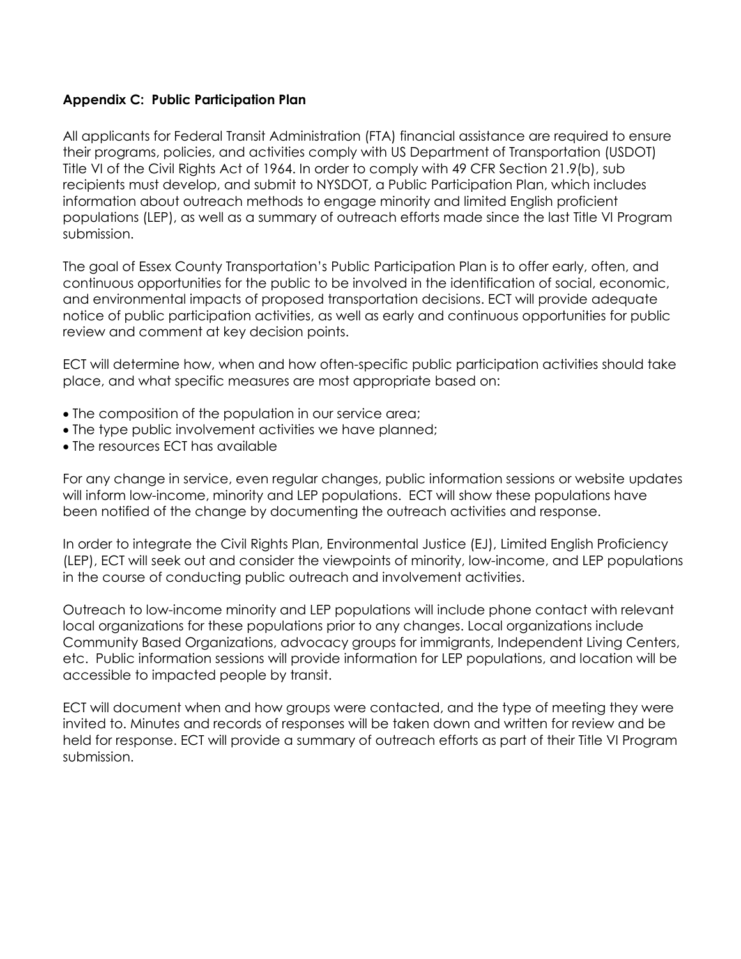#### **Appendix C: Public Participation Plan**

All applicants for Federal Transit Administration (FTA) financial assistance are required to ensure their programs, policies, and activities comply with US Department of Transportation (USDOT) Title VI of the Civil Rights Act of 1964. In order to comply with 49 CFR Section 21.9(b), sub recipients must develop, and submit to NYSDOT, a Public Participation Plan, which includes information about outreach methods to engage minority and limited English proficient populations (LEP), as well as a summary of outreach efforts made since the last Title VI Program submission.

The goal of Essex County Transportation's Public Participation Plan is to offer early, often, and continuous opportunities for the public to be involved in the identification of social, economic, and environmental impacts of proposed transportation decisions. ECT will provide adequate notice of public participation activities, as well as early and continuous opportunities for public review and comment at key decision points.

ECT will determine how, when and how often-specific public participation activities should take place, and what specific measures are most appropriate based on:

- The composition of the population in our service area;
- The type public involvement activities we have planned;
- The resources ECT has available

For any change in service, even regular changes, public information sessions or website updates will inform low-income, minority and LEP populations. ECT will show these populations have been notified of the change by documenting the outreach activities and response.

In order to integrate the Civil Rights Plan, Environmental Justice (EJ), Limited English Proficiency (LEP), ECT will seek out and consider the viewpoints of minority, low-income, and LEP populations in the course of conducting public outreach and involvement activities.

Outreach to low-income minority and LEP populations will include phone contact with relevant local organizations for these populations prior to any changes. Local organizations include Community Based Organizations, advocacy groups for immigrants, Independent Living Centers, etc. Public information sessions will provide information for LEP populations, and location will be accessible to impacted people by transit.

ECT will document when and how groups were contacted, and the type of meeting they were invited to. Minutes and records of responses will be taken down and written for review and be held for response. ECT will provide a summary of outreach efforts as part of their Title VI Program submission.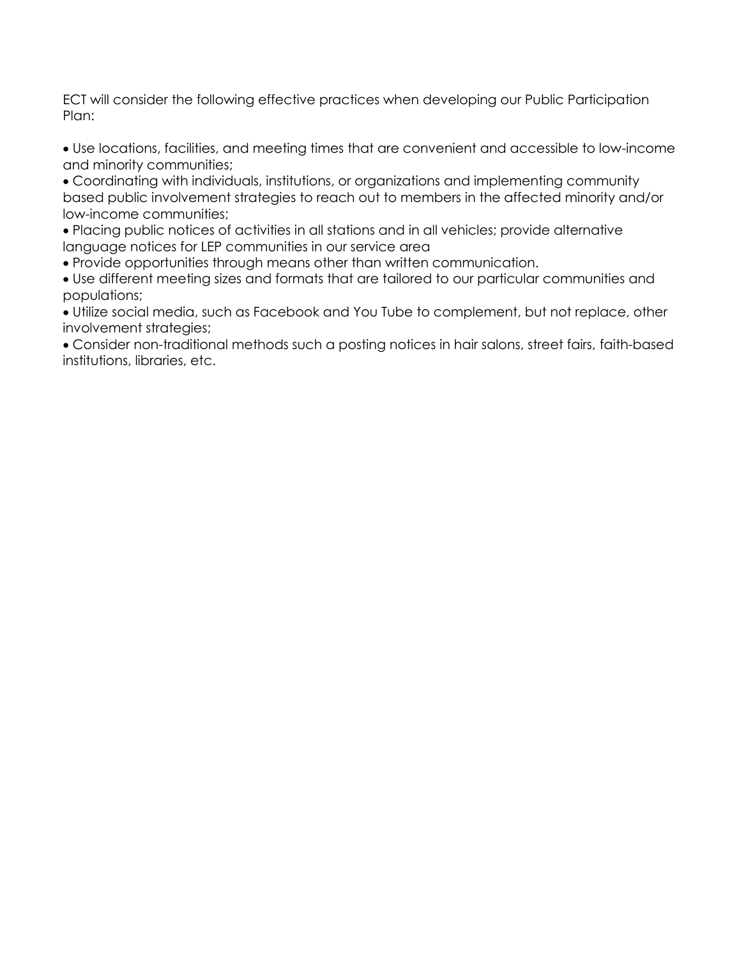ECT will consider the following effective practices when developing our Public Participation Plan:

 Use locations, facilities, and meeting times that are convenient and accessible to low-income and minority communities;

 Coordinating with individuals, institutions, or organizations and implementing community based public involvement strategies to reach out to members in the affected minority and/or low-income communities;

 Placing public notices of activities in all stations and in all vehicles; provide alternative language notices for LEP communities in our service area

Provide opportunities through means other than written communication.

 Use different meeting sizes and formats that are tailored to our particular communities and populations;

 Utilize social media, such as Facebook and You Tube to complement, but not replace, other involvement strategies;

 Consider non-traditional methods such a posting notices in hair salons, street fairs, faith-based institutions, libraries, etc.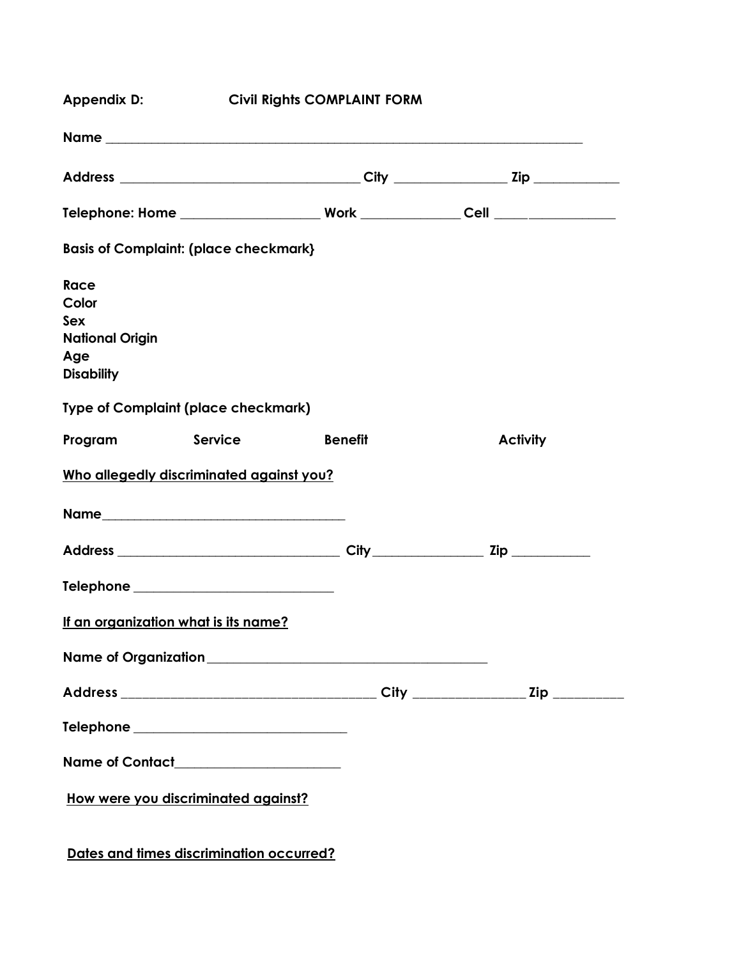| <b>Civil Rights COMPLAINT FORM</b><br>Appendix D:                                                                                      |  |                |                 |  |  |  |  |
|----------------------------------------------------------------------------------------------------------------------------------------|--|----------------|-----------------|--|--|--|--|
|                                                                                                                                        |  |                |                 |  |  |  |  |
|                                                                                                                                        |  |                |                 |  |  |  |  |
|                                                                                                                                        |  |                |                 |  |  |  |  |
| <b>Basis of Complaint: (place checkmark)</b>                                                                                           |  |                |                 |  |  |  |  |
| <b>Race</b><br>Color<br><b>Sex</b><br><b>National Origin</b><br>Age<br><b>Disability</b><br><b>Type of Complaint (place checkmark)</b> |  |                |                 |  |  |  |  |
| Program Service                                                                                                                        |  | <b>Benefit</b> | <b>Activity</b> |  |  |  |  |
| Who allegedly discriminated against you?                                                                                               |  |                |                 |  |  |  |  |
|                                                                                                                                        |  |                |                 |  |  |  |  |
|                                                                                                                                        |  |                |                 |  |  |  |  |
|                                                                                                                                        |  |                |                 |  |  |  |  |
| If an organization what is its name?                                                                                                   |  |                |                 |  |  |  |  |
|                                                                                                                                        |  |                |                 |  |  |  |  |
|                                                                                                                                        |  |                |                 |  |  |  |  |
| Telephone _______________________________                                                                                              |  |                |                 |  |  |  |  |
| Name of Contact_____________________                                                                                                   |  |                |                 |  |  |  |  |
| How were you discriminated against?                                                                                                    |  |                |                 |  |  |  |  |

**Dates and times discrimination occurred?**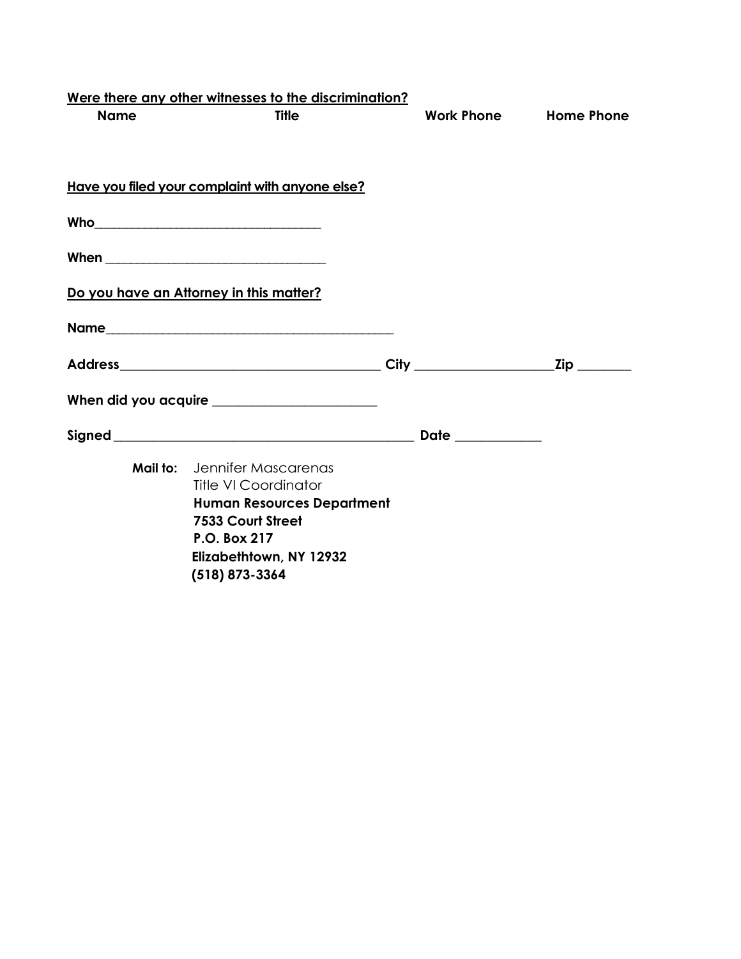| <b>Title</b><br><b>Work Phone</b><br><b>Name</b><br>Have you filed your complaint with anyone else?<br>Do you have an Attorney in this matter?<br>Name<br>When did you acquire | <b>Home Phone</b> |
|--------------------------------------------------------------------------------------------------------------------------------------------------------------------------------|-------------------|
|                                                                                                                                                                                |                   |
|                                                                                                                                                                                |                   |
|                                                                                                                                                                                |                   |
|                                                                                                                                                                                |                   |
|                                                                                                                                                                                |                   |
|                                                                                                                                                                                |                   |
|                                                                                                                                                                                |                   |
|                                                                                                                                                                                |                   |
|                                                                                                                                                                                |                   |
| <b>Mail to:</b> Jennifer Mascarenas<br><b>Title VI Coordinator</b>                                                                                                             |                   |
| <b>Human Resources Department</b><br>7533 Court Street<br>P.O. Box 217<br>Elizabethtown, NY 12932<br>$(518) 873 - 3364$                                                        |                   |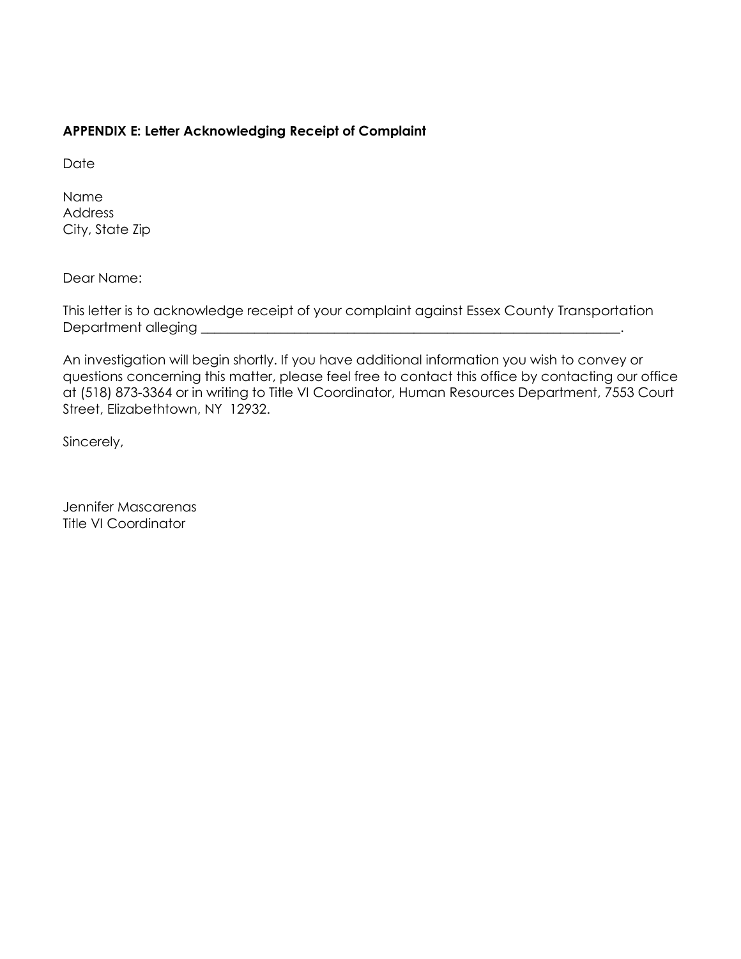#### **APPENDIX E: Letter Acknowledging Receipt of Complaint**

**Date** 

Name Address City, State Zip

Dear Name:

This letter is to acknowledge receipt of your complaint against Essex County Transportation Department alleging \_\_\_\_\_\_\_\_\_\_\_\_\_\_\_\_\_\_\_\_\_\_\_\_\_\_\_\_\_\_\_\_\_\_\_\_\_\_\_\_\_\_\_\_\_\_\_\_\_\_\_\_\_\_\_\_\_\_\_\_\_\_\_.

An investigation will begin shortly. If you have additional information you wish to convey or questions concerning this matter, please feel free to contact this office by contacting our office at (518) 873-3364 or in writing to Title VI Coordinator, Human Resources Department, 7553 Court Street, Elizabethtown, NY 12932.

Sincerely,

Jennifer Mascarenas Title VI Coordinator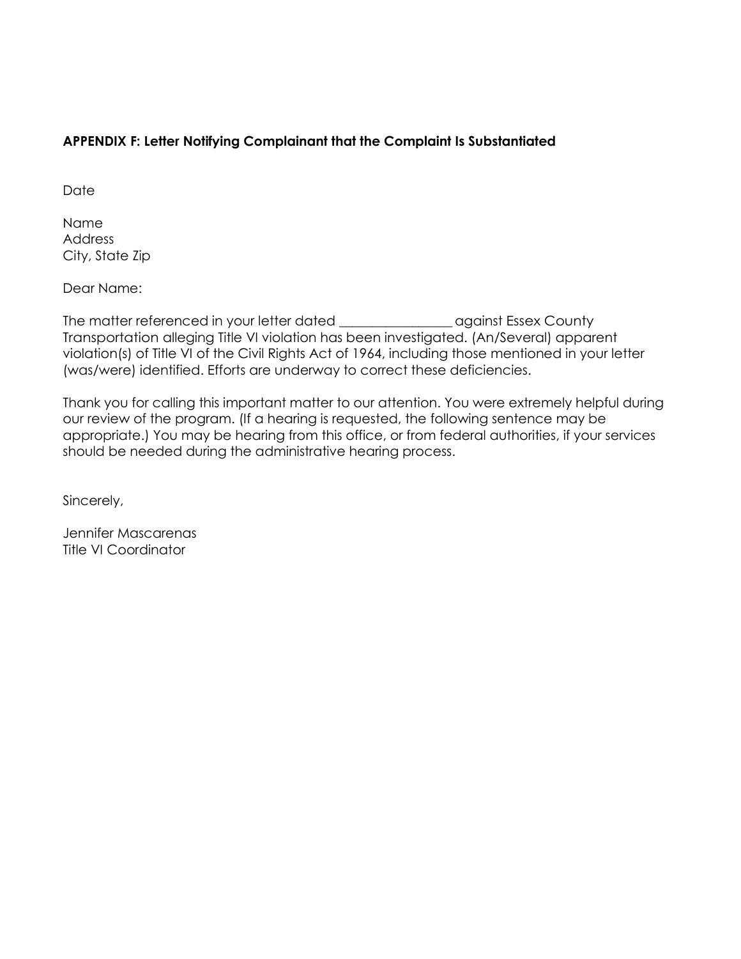## **APPENDIX F: Letter Notifying Complainant that the Complaint Is Substantiated**

**Date** 

Name Address City, State Zip

Dear Name:

The matter referenced in your letter dated \_\_\_\_\_\_\_\_\_\_\_\_\_\_\_\_\_ against Essex County Transportation alleging Title VI violation has been investigated. (An/Several) apparent violation(s) of Title VI of the Civil Rights Act of 1964, including those mentioned in your letter (was/were) identified. Efforts are underway to correct these deficiencies.

Thank you for calling this important matter to our attention. You were extremely helpful during our review of the program. (If a hearing is requested, the following sentence may be appropriate.) You may be hearing from this office, or from federal authorities, if your services should be needed during the administrative hearing process.

Sincerely,

Jennifer Mascarenas Title VI Coordinator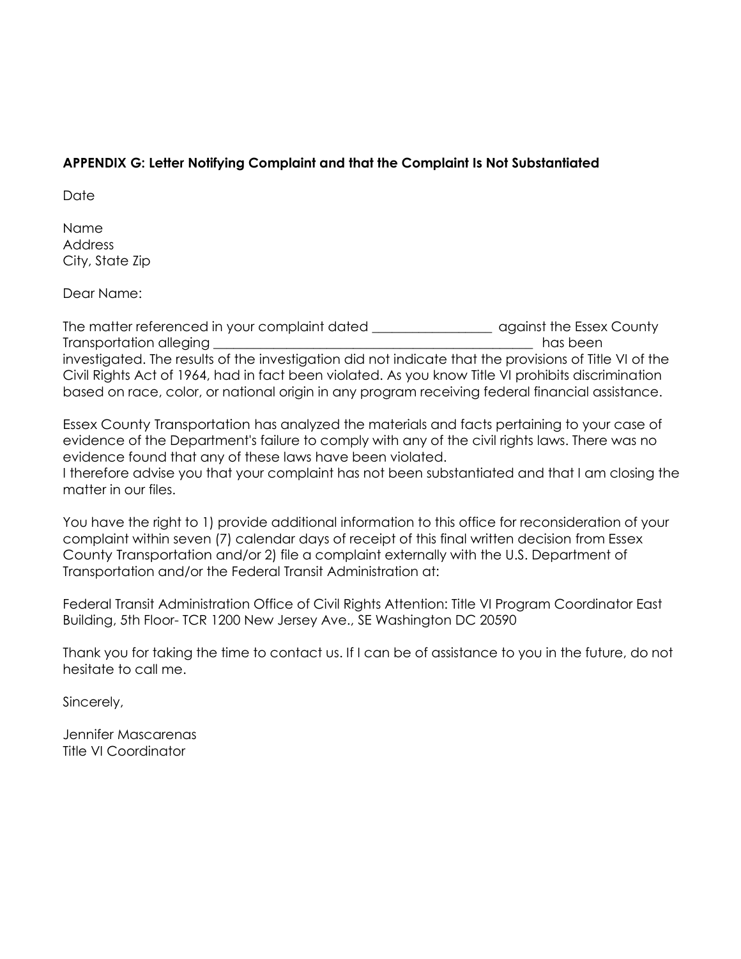## **APPENDIX G: Letter Notifying Complaint and that the Complaint Is Not Substantiated**

Date

Name Address City, State Zip

Dear Name:

The matter referenced in your complaint dated \_\_\_\_\_\_\_\_\_\_\_\_\_\_\_\_\_\_\_\_\_\_\_\_\_\_\_\_\_\_\_\_\_\_ against the Essex County Transportation alleging \_\_\_\_\_\_\_\_\_\_\_\_\_\_\_\_\_\_\_\_\_\_\_\_\_\_\_\_\_\_\_\_\_\_\_\_\_\_\_\_\_\_\_\_\_\_\_\_ has been investigated. The results of the investigation did not indicate that the provisions of Title VI of the Civil Rights Act of 1964, had in fact been violated. As you know Title VI prohibits discrimination based on race, color, or national origin in any program receiving federal financial assistance.

Essex County Transportation has analyzed the materials and facts pertaining to your case of evidence of the Department's failure to comply with any of the civil rights laws. There was no evidence found that any of these laws have been violated. I therefore advise you that your complaint has not been substantiated and that I am closing the matter in our files.

You have the right to 1) provide additional information to this office for reconsideration of your complaint within seven (7) calendar days of receipt of this final written decision from Essex County Transportation and/or 2) file a complaint externally with the U.S. Department of Transportation and/or the Federal Transit Administration at:

Federal Transit Administration Office of Civil Rights Attention: Title VI Program Coordinator East Building, 5th Floor- TCR 1200 New Jersey Ave., SE Washington DC 20590

Thank you for taking the time to contact us. If I can be of assistance to you in the future, do not hesitate to call me.

Sincerely,

Jennifer Mascarenas Title VI Coordinator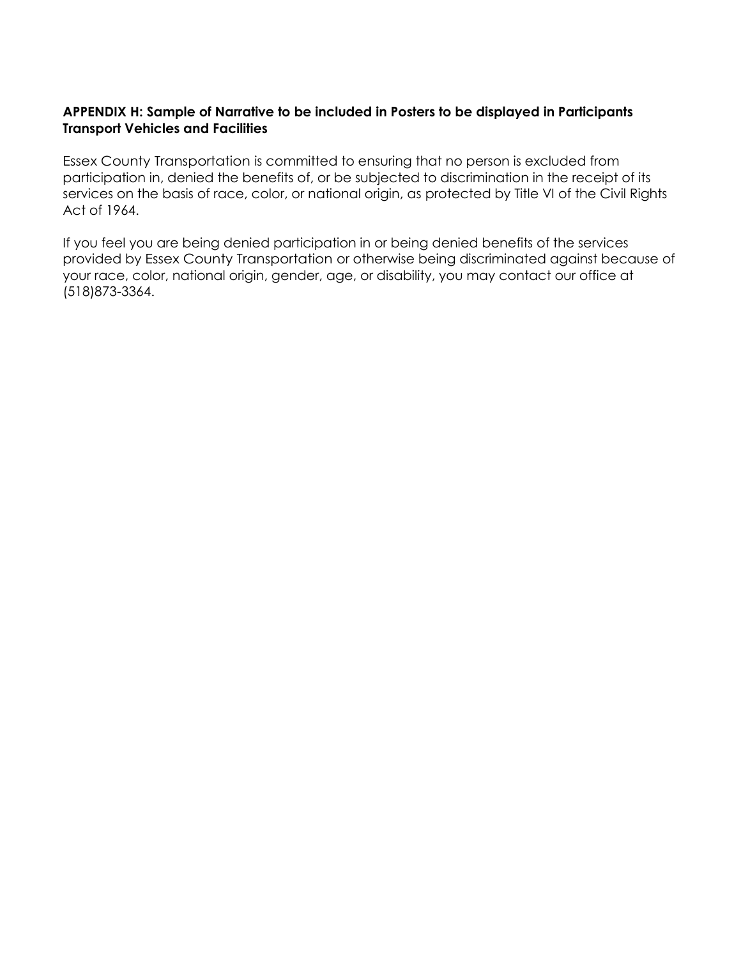#### **APPENDIX H: Sample of Narrative to be included in Posters to be displayed in Participants Transport Vehicles and Facilities**

Essex County Transportation is committed to ensuring that no person is excluded from participation in, denied the benefits of, or be subjected to discrimination in the receipt of its services on the basis of race, color, or national origin, as protected by Title VI of the Civil Rights Act of 1964.

If you feel you are being denied participation in or being denied benefits of the services provided by Essex County Transportation or otherwise being discriminated against because of your race, color, national origin, gender, age, or disability, you may contact our office at (518)873-3364.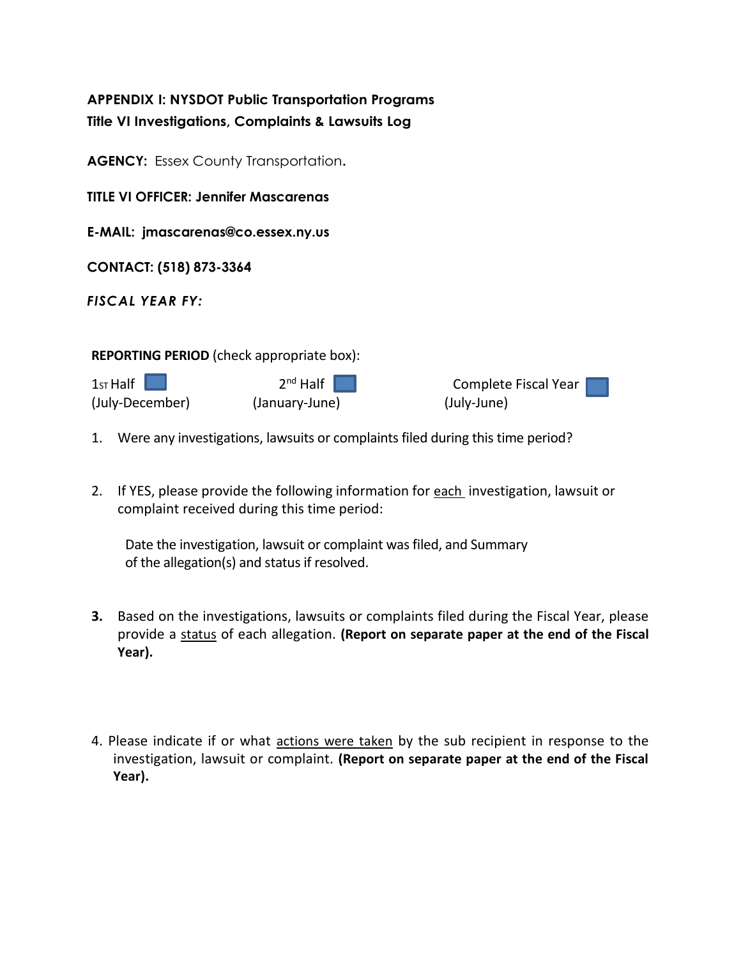| <b>APPENDIX I: NYSDOT Public Transportation Programs</b><br>Title VI Investigations, Complaints & Lawsuits Log |                              |                                     |  |  |  |  |  |  |  |
|----------------------------------------------------------------------------------------------------------------|------------------------------|-------------------------------------|--|--|--|--|--|--|--|
| <b>AGENCY:</b> Essex County Transportation.                                                                    |                              |                                     |  |  |  |  |  |  |  |
| <b>TITLE VI OFFICER: Jennifer Mascarenas</b>                                                                   |                              |                                     |  |  |  |  |  |  |  |
| E-MAIL: jmascarenas@co.essex.ny.us                                                                             |                              |                                     |  |  |  |  |  |  |  |
| CONTACT: (518) 873-3364                                                                                        |                              |                                     |  |  |  |  |  |  |  |
| <b>FISCAL YEAR FY:</b>                                                                                         |                              |                                     |  |  |  |  |  |  |  |
| <b>REPORTING PERIOD</b> (check appropriate box):                                                               |                              |                                     |  |  |  |  |  |  |  |
| 1st Half<br>(July-December)                                                                                    | $2nd$ Half<br>(January-June) | Complete Fiscal Year<br>(July-June) |  |  |  |  |  |  |  |

- 1. Were any investigations, lawsuits or complaints filed during this time period?
- 2. If YES, please provide the following information for each investigation, lawsuit or complaint received during this time period:

Date the investigation, lawsuit or complaint was filed, and Summary of the allegation(s) and status if resolved.

- **3.** Based on the investigations, lawsuits or complaints filed during the Fiscal Year, please provide a status of each allegation. **(Report on separate paper at the end of the Fiscal Year).**
- 4. Please indicate if or what actions were taken by the sub recipient in response to the investigation, lawsuit or complaint. **(Report on separate paper at the end of the Fiscal Year).**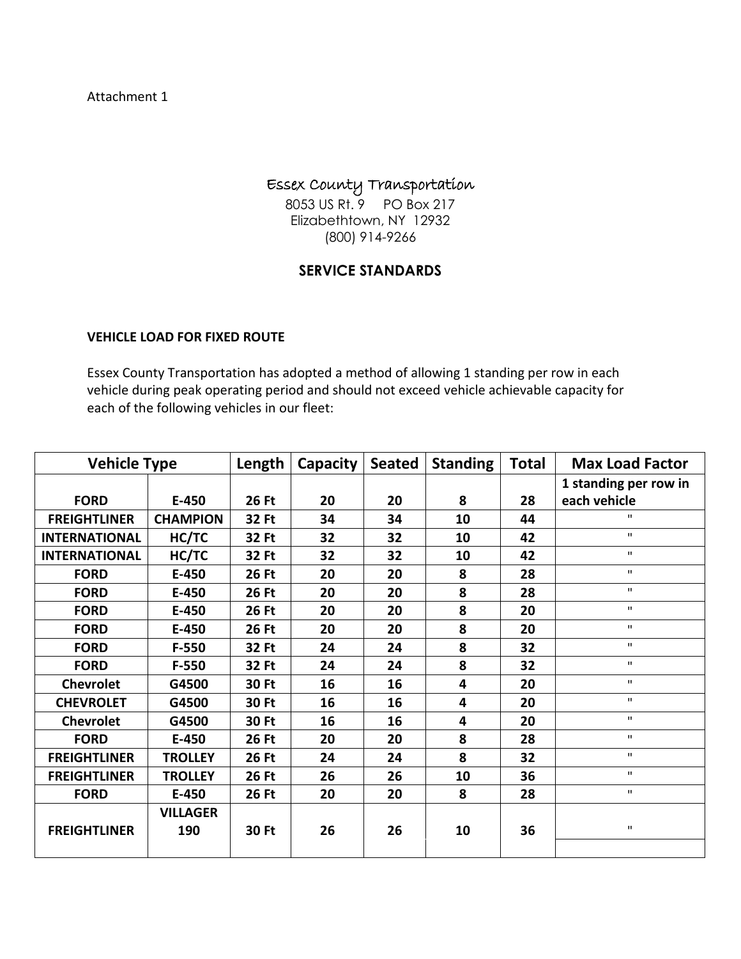#### Attachment 1

## Essex County Transportation

8053 US Rt. 9 PO Box 217 Elizabethtown, NY 12932 (800) 914-9266

## **SERVICE STANDARDS**

#### **VEHICLE LOAD FOR FIXED ROUTE**

Essex County Transportation has adopted a method of allowing 1 standing per row in each vehicle during peak operating period and should not exceed vehicle achievable capacity for each of the following vehicles in our fleet:

| <b>Vehicle Type</b>  |                        | Length       | Capacity | <b>Seated</b> | <b>Standing</b> | <b>Total</b> | <b>Max Load Factor</b> |
|----------------------|------------------------|--------------|----------|---------------|-----------------|--------------|------------------------|
|                      |                        |              |          |               |                 |              | 1 standing per row in  |
| <b>FORD</b>          | E-450                  | <b>26 Ft</b> | 20       | 20            | 8               | 28           | each vehicle           |
| <b>FREIGHTLINER</b>  | <b>CHAMPION</b>        | 32 Ft        | 34       | 34            | 10              | 44           | $\mathbf{H}$           |
| <b>INTERNATIONAL</b> | HC/TC                  | 32 Ft        | 32       | 32            | 10              | 42           | $\mathbf{H}$           |
| <b>INTERNATIONAL</b> | HC/TC                  | 32 Ft        | 32       | 32            | 10              | 42           | $\mathbf{H}$           |
| <b>FORD</b>          | E-450                  | <b>26 Ft</b> | 20       | 20            | 8               | 28           | $\mathbf{H}$           |
| <b>FORD</b>          | E-450                  | <b>26 Ft</b> | 20       | 20            | 8               | 28           | $\mathbf H$            |
| <b>FORD</b>          | E-450                  | <b>26 Ft</b> | 20       | 20            | 8               | 20           | $\mathbf{u}$           |
| <b>FORD</b>          | E-450                  | <b>26 Ft</b> | 20       | 20            | 8               | 20           | $\mathbf{H}$           |
| <b>FORD</b>          | $F-550$                | 32 Ft        | 24       | 24            | 8               | 32           | $\mathbf{H}$           |
| <b>FORD</b>          | $F-550$                | 32 Ft        | 24       | 24            | 8               | 32           | $\mathbf{H}$           |
| <b>Chevrolet</b>     | G4500                  | 30 Ft        | 16       | 16            | 4               | 20           | $\mathbf{H}$           |
| <b>CHEVROLET</b>     | G4500                  | 30 Ft        | 16       | 16            | 4               | 20           | $\mathbf{H}$           |
| <b>Chevrolet</b>     | G4500                  | 30 Ft        | 16       | 16            | 4               | 20           | $\mathbf{H}$           |
| <b>FORD</b>          | E-450                  | <b>26 Ft</b> | 20       | 20            | 8               | 28           | $\mathbf{H}$           |
| <b>FREIGHTLINER</b>  | <b>TROLLEY</b>         | <b>26 Ft</b> | 24       | 24            | 8               | 32           | $\mathbf{H}$           |
| <b>FREIGHTLINER</b>  | <b>TROLLEY</b>         | <b>26 Ft</b> | 26       | 26            | 10              | 36           | $\mathbf H$            |
| <b>FORD</b>          | E-450                  | <b>26 Ft</b> | 20       | 20            | 8               | 28           | $\mathbf{H}$           |
| <b>FREIGHTLINER</b>  | <b>VILLAGER</b><br>190 | 30 Ft        | 26       | 26            | 10              | 36           | $\mathbf H$            |
|                      |                        |              |          |               |                 |              |                        |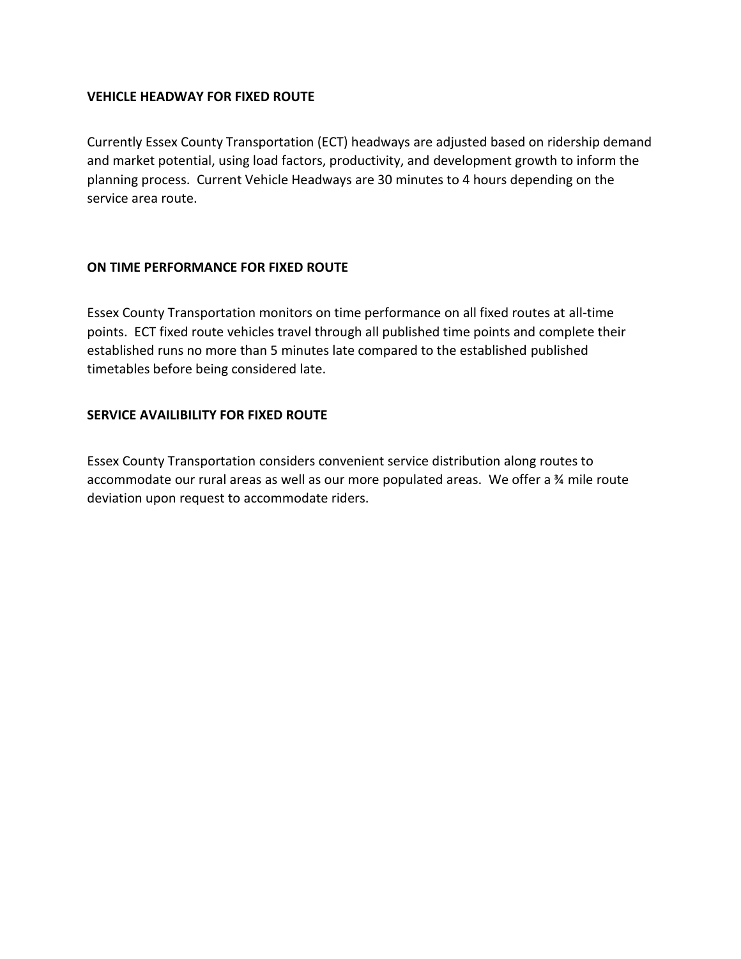#### **VEHICLE HEADWAY FOR FIXED ROUTE**

Currently Essex County Transportation (ECT) headways are adjusted based on ridership demand and market potential, using load factors, productivity, and development growth to inform the planning process. Current Vehicle Headways are 30 minutes to 4 hours depending on the service area route.

#### **ON TIME PERFORMANCE FOR FIXED ROUTE**

Essex County Transportation monitors on time performance on all fixed routes at all-time points. ECT fixed route vehicles travel through all published time points and complete their established runs no more than 5 minutes late compared to the established published timetables before being considered late.

#### **SERVICE AVAILIBILITY FOR FIXED ROUTE**

Essex County Transportation considers convenient service distribution along routes to accommodate our rural areas as well as our more populated areas. We offer a ¾ mile route deviation upon request to accommodate riders.